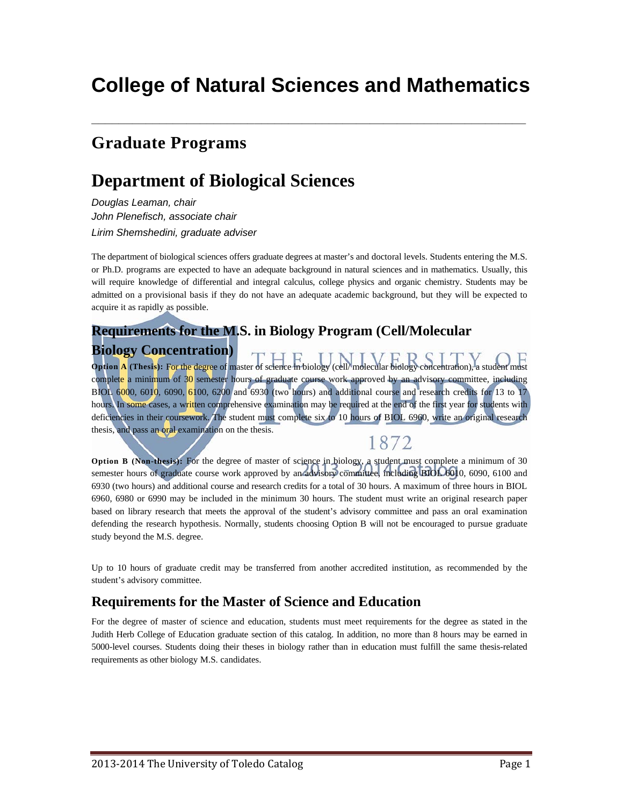# **College of Natural Sciences and Mathematics**

**\_\_\_\_\_\_\_\_\_\_\_\_\_\_\_\_\_\_\_\_\_\_\_\_\_\_\_\_\_\_\_\_\_\_\_\_\_\_\_\_\_\_\_\_\_\_\_\_\_\_\_\_\_\_\_\_\_\_\_\_\_\_\_\_** 

# **Graduate Programs**

# **Department of Biological Sciences**

*Douglas Leaman, chair John Plenefisch, associate chair Lirim Shemshedini, graduate adviser* 

The department of biological sciences offers graduate degrees at master's and doctoral levels. Students entering the M.S. or Ph.D. programs are expected to have an adequate background in natural sciences and in mathematics. Usually, this will require knowledge of differential and integral calculus, college physics and organic chemistry. Students may be admitted on a provisional basis if they do not have an adequate academic background, but they will be expected to acquire it as rapidly as possible.

# **Requirements for the M.S. in Biology Program (Cell/Molecular**

**Biology Concentration) Option A** (Thesis): For the degree of master of science in biology (cell/ molecular biology concentration), a student must complete a minimum of 30 semester hours of graduate course work approved by an advisory committee, including BIOL 6000, 6010, 6090, 6100, 6200 and 6930 (two hours) and additional course and research credits for 13 to 17 hours. In some cases, a written comprehensive examination may be required at the end of the first year for students with deficiencies in their coursework. The student must complete six to 10 hours of BIOL 6960, write an original research thesis, and pass an oral examination on the thesis.

## 1872

**Option B (Non-thesis):** For the degree of master of science in biology, a student must complete a minimum of 30 semester hours of graduate course work approved by an advisory committee, including BIOL 6010, 6090, 6100 and 6930 (two hours) and additional course and research credits for a total of 30 hours. A maximum of three hours in BIOL 6960, 6980 or 6990 may be included in the minimum 30 hours. The student must write an original research paper based on library research that meets the approval of the student's advisory committee and pass an oral examination defending the research hypothesis. Normally, students choosing Option B will not be encouraged to pursue graduate study beyond the M.S. degree.

Up to 10 hours of graduate credit may be transferred from another accredited institution, as recommended by the student's advisory committee.

#### **Requirements for the Master of Science and Education**

For the degree of master of science and education, students must meet requirements for the degree as stated in the Judith Herb College of Education graduate section of this catalog. In addition, no more than 8 hours may be earned in 5000-level courses. Students doing their theses in biology rather than in education must fulfill the same thesis-related requirements as other biology M.S. candidates.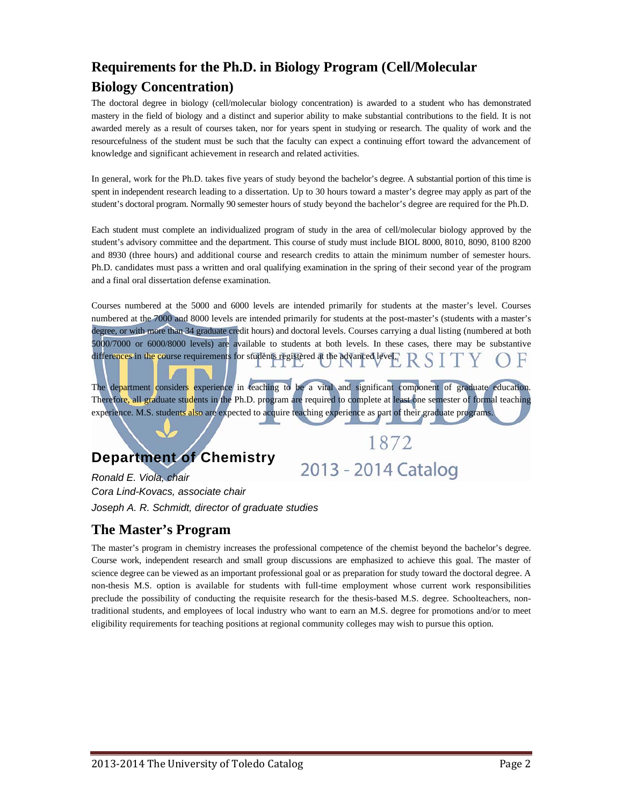# **Requirements for the Ph.D. in Biology Program (Cell/Molecular Biology Concentration)**

The doctoral degree in biology (cell/molecular biology concentration) is awarded to a student who has demonstrated mastery in the field of biology and a distinct and superior ability to make substantial contributions to the field. It is not awarded merely as a result of courses taken, nor for years spent in studying or research. The quality of work and the resourcefulness of the student must be such that the faculty can expect a continuing effort toward the advancement of knowledge and significant achievement in research and related activities.

In general, work for the Ph.D. takes five years of study beyond the bachelor's degree. A substantial portion of this time is spent in independent research leading to a dissertation. Up to 30 hours toward a master's degree may apply as part of the student's doctoral program. Normally 90 semester hours of study beyond the bachelor's degree are required for the Ph.D.

Each student must complete an individualized program of study in the area of cell/molecular biology approved by the student's advisory committee and the department. This course of study must include BIOL 8000, 8010, 8090, 8100 8200 and 8930 (three hours) and additional course and research credits to attain the minimum number of semester hours. Ph.D. candidates must pass a written and oral qualifying examination in the spring of their second year of the program and a final oral dissertation defense examination.

Courses numbered at the 5000 and 6000 levels are intended primarily for students at the master's level. Courses numbered at the 7000 and 8000 levels are intended primarily for students at the post-master's (students with a master's degree, or with more than 34 graduate credit hours) and doctoral levels. Courses carrying a dual listing (numbered at both 5000/7000 or 6000/8000 levels) are available to students at both levels. In these cases, there may be substantive differences in the course requirements for students registered at the advanced level.

The department considers experience in teaching to be a vital and significant component of graduate education. Therefore, all graduate students in the Ph.D. program are required to complete at least one semester of formal teaching experience. M.S. students also are expected to acquire teaching experience as part of their graduate programs.

1872

## **Department of Chemistry**

2013 - 2014 Catalog

*Ronald E. Viola, chair Cora Lind-Kovacs, associate chair Joseph A. R. Schmidt, director of graduate studies* 

## **The Master's Program**

The master's program in chemistry increases the professional competence of the chemist beyond the bachelor's degree. Course work, independent research and small group discussions are emphasized to achieve this goal. The master of science degree can be viewed as an important professional goal or as preparation for study toward the doctoral degree. A non-thesis M.S. option is available for students with full-time employment whose current work responsibilities preclude the possibility of conducting the requisite research for the thesis-based M.S. degree. Schoolteachers, nontraditional students, and employees of local industry who want to earn an M.S. degree for promotions and/or to meet eligibility requirements for teaching positions at regional community colleges may wish to pursue this option.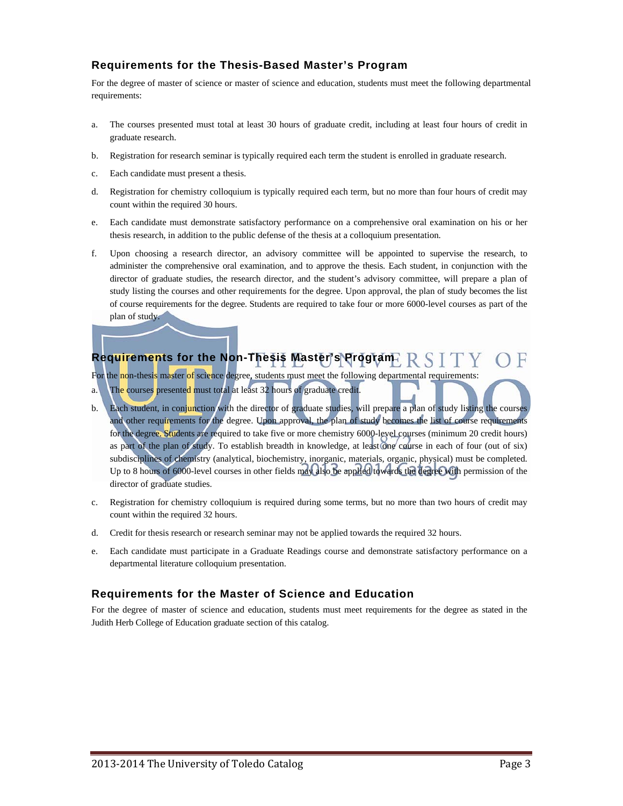#### **Requirements for the Thesis-Based Master's Program**

For the degree of master of science or master of science and education, students must meet the following departmental requirements:

- a. The courses presented must total at least 30 hours of graduate credit, including at least four hours of credit in graduate research.
- b. Registration for research seminar is typically required each term the student is enrolled in graduate research.
- c. Each candidate must present a thesis.
- d. Registration for chemistry colloquium is typically required each term, but no more than four hours of credit may count within the required 30 hours.
- e. Each candidate must demonstrate satisfactory performance on a comprehensive oral examination on his or her thesis research, in addition to the public defense of the thesis at a colloquium presentation.
- f. Upon choosing a research director, an advisory committee will be appointed to supervise the research, to administer the comprehensive oral examination, and to approve the thesis. Each student, in conjunction with the director of graduate studies, the research director, and the student's advisory committee, will prepare a plan of study listing the courses and other requirements for the degree. Upon approval, the plan of study becomes the list of course requirements for the degree. Students are required to take four or more 6000-level courses as part of the plan of study.

## Requirements for the Non-Thesis Master's Program **RSITY**

For the non-thesis master of science degree, students must meet the following departmental requirements:

- a. The courses presented must total at least 32 hours of graduate credit.
- b. Each student, in conjunction with the director of graduate studies, will prepare a plan of study listing the course and other requirements for the degree. Upon approval, the plan of study becomes the list of course requirements for the degree. Students are required to take five or more chemistry 6000-level courses (minimum 20 credit hours) as part of the plan of study. To establish breadth in knowledge, at least one course in each of four (out of six) subdisciplines of chemistry (analytical, biochemistry, inorganic, materials, organic, physical) must be completed. Up to 8 hours of 6000-level courses in other fields may also be applied towards the degree with permission of the director of graduate studies.
- c. Registration for chemistry colloquium is required during some terms, but no more than two hours of credit may count within the required 32 hours.
- d. Credit for thesis research or research seminar may not be applied towards the required 32 hours.
- e. Each candidate must participate in a Graduate Readings course and demonstrate satisfactory performance on a departmental literature colloquium presentation.

#### **Requirements for the Master of Science and Education**

For the degree of master of science and education, students must meet requirements for the degree as stated in the Judith Herb College of Education graduate section of this catalog.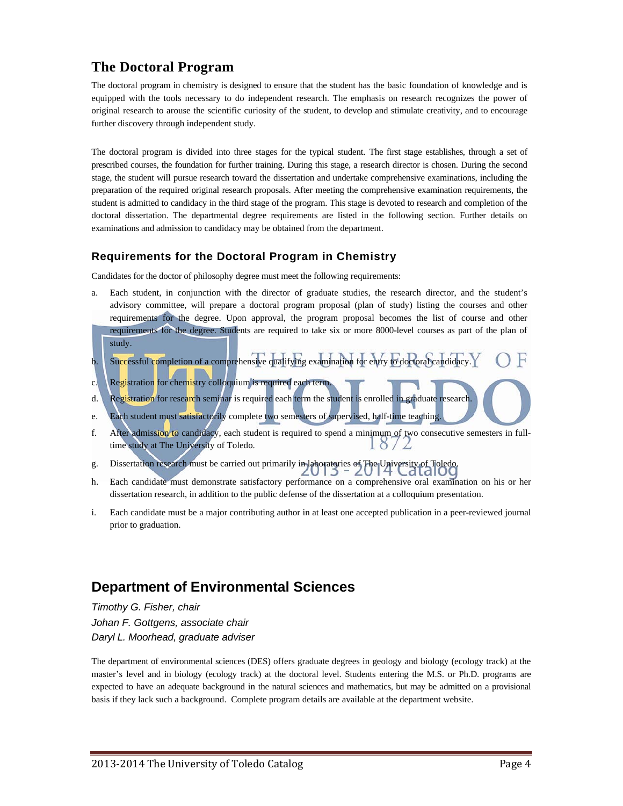### **The Doctoral Program**

The doctoral program in chemistry is designed to ensure that the student has the basic foundation of knowledge and is equipped with the tools necessary to do independent research. The emphasis on research recognizes the power of original research to arouse the scientific curiosity of the student, to develop and stimulate creativity, and to encourage further discovery through independent study.

The doctoral program is divided into three stages for the typical student. The first stage establishes, through a set of prescribed courses, the foundation for further training. During this stage, a research director is chosen. During the second stage, the student will pursue research toward the dissertation and undertake comprehensive examinations, including the preparation of the required original research proposals. After meeting the comprehensive examination requirements, the student is admitted to candidacy in the third stage of the program. This stage is devoted to research and completion of the doctoral dissertation. The departmental degree requirements are listed in the following section. Further details on examinations and admission to candidacy may be obtained from the department.

#### **Requirements for the Doctoral Program in Chemistry**

Candidates for the doctor of philosophy degree must meet the following requirements:

- a. Each student, in conjunction with the director of graduate studies, the research director, and the student's advisory committee, will prepare a doctoral program proposal (plan of study) listing the courses and other requirements for the degree. Upon approval, the program proposal becomes the list of course and other requirements for the degree. Students are required to take six or more 8000-level courses as part of the plan of study.
- b. Successful completion of a comprehensive qualifying examination for entry to doctoral candidacy.
- c. Registration for chemistry colloquium is required each term.
- d. Registration for research seminar is required each term the student is enrolled in graduate research.
- e. Each student must satisfactorily complete two semesters of supervised, half-time teaching.
- f. After admission to candidacy, each student is required to spend a minimum of two consecutive semesters in fulltime study at The University of Toledo.  $0/2$
- g. Dissertation research must be carried out primarily in laboratories of The University of Toledo.
- h. Each candidate must demonstrate satisfactory performance on a comprehensive oral examination on his or her dissertation research, in addition to the public defense of the dissertation at a colloquium presentation.
- i. Each candidate must be a major contributing author in at least one accepted publication in a peer-reviewed journal prior to graduation.

## **Department of Environmental Sciences**

*Timothy G. Fisher, chair Johan F. Gottgens, associate chair Daryl L. Moorhead, graduate adviser* 

The department of environmental sciences (DES) offers graduate degrees in geology and biology (ecology track) at the master's level and in biology (ecology track) at the doctoral level. Students entering the M.S. or Ph.D. programs are expected to have an adequate background in the natural sciences and mathematics, but may be admitted on a provisional basis if they lack such a background. Complete program details are available at the department website.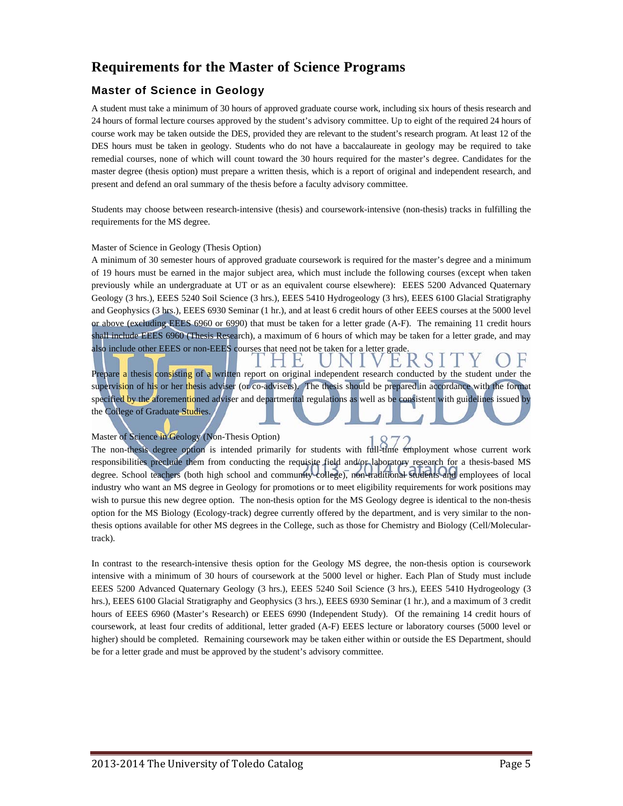### **Requirements for the Master of Science Programs**

#### **Master of Science in Geology**

A student must take a minimum of 30 hours of approved graduate course work, including six hours of thesis research and 24 hours of formal lecture courses approved by the student's advisory committee. Up to eight of the required 24 hours of course work may be taken outside the DES, provided they are relevant to the student's research program. At least 12 of the DES hours must be taken in geology. Students who do not have a baccalaureate in geology may be required to take remedial courses, none of which will count toward the 30 hours required for the master's degree. Candidates for the master degree (thesis option) must prepare a written thesis, which is a report of original and independent research, and present and defend an oral summary of the thesis before a faculty advisory committee.

Students may choose between research-intensive (thesis) and coursework-intensive (non-thesis) tracks in fulfilling the requirements for the MS degree.

#### Master of Science in Geology (Thesis Option)

A minimum of 30 semester hours of approved graduate coursework is required for the master's degree and a minimum of 19 hours must be earned in the major subject area, which must include the following courses (except when taken previously while an undergraduate at UT or as an equivalent course elsewhere): EEES 5200 Advanced Quaternary Geology (3 hrs.), EEES 5240 Soil Science (3 hrs.), EEES 5410 Hydrogeology (3 hrs), EEES 6100 Glacial Stratigraphy and Geophysics (3 hrs.), EEES 6930 Seminar (1 hr.), and at least 6 credit hours of other EEES courses at the 5000 level or above (excluding EEES 6960 or 6990) that must be taken for a letter grade (A-F). The remaining 11 credit hours shall include EEES 6960 (Thesis Research), a maximum of 6 hours of which may be taken for a letter grade, and may also include other EEES or non-EEES courses that need not be taken for a letter grade.

E, Prepare a thesis consisting of a written report on original independent research conducted by the student under the supervision of his or her thesis adviser (or co-advisers). The thesis should be prepared in accordance with the format specified by the aforementioned adviser and departmental regulations as well as be consistent with guidelines issued by the College of Graduate Studies.

#### Master of Science in Geology (Non-Thesis Option)

The non-thesis degree option is intended primarily for students with full-time employment whose current work responsibilities preclude them from conducting the requisite field and/or laboratory research for a thesis-based MS degree. School teachers (both high school and community college), non-traditional students and employees of local industry who want an MS degree in Geology for promotions or to meet eligibility requirements for work positions may wish to pursue this new degree option. The non-thesis option for the MS Geology degree is identical to the non-thesis option for the MS Biology (Ecology-track) degree currently offered by the department, and is very similar to the nonthesis options available for other MS degrees in the College, such as those for Chemistry and Biology (Cell/Moleculartrack).

In contrast to the research-intensive thesis option for the Geology MS degree, the non-thesis option is coursework intensive with a minimum of 30 hours of coursework at the 5000 level or higher. Each Plan of Study must include EEES 5200 Advanced Quaternary Geology (3 hrs.), EEES 5240 Soil Science (3 hrs.), EEES 5410 Hydrogeology (3 hrs.), EEES 6100 Glacial Stratigraphy and Geophysics (3 hrs.), EEES 6930 Seminar (1 hr.), and a maximum of 3 credit hours of EEES 6960 (Master's Research) or EEES 6990 (Independent Study). Of the remaining 14 credit hours of coursework, at least four credits of additional, letter graded (A-F) EEES lecture or laboratory courses (5000 level or higher) should be completed. Remaining coursework may be taken either within or outside the ES Department, should be for a letter grade and must be approved by the student's advisory committee.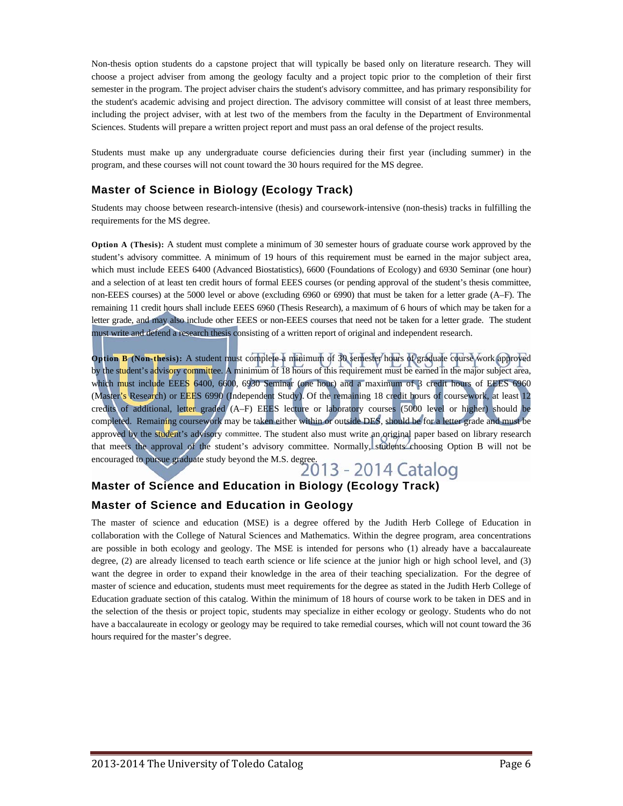Non-thesis option students do a capstone project that will typically be based only on literature research. They will choose a project adviser from among the geology faculty and a project topic prior to the completion of their first semester in the program. The project adviser chairs the student's advisory committee, and has primary responsibility for the student's academic advising and project direction. The advisory committee will consist of at least three members, including the project adviser, with at lest two of the members from the faculty in the Department of Environmental Sciences. Students will prepare a written project report and must pass an oral defense of the project results.

Students must make up any undergraduate course deficiencies during their first year (including summer) in the program, and these courses will not count toward the 30 hours required for the MS degree.

#### **Master of Science in Biology (Ecology Track)**

Students may choose between research-intensive (thesis) and coursework-intensive (non-thesis) tracks in fulfilling the requirements for the MS degree.

**Option A (Thesis):** A student must complete a minimum of 30 semester hours of graduate course work approved by the student's advisory committee. A minimum of 19 hours of this requirement must be earned in the major subject area, which must include EEES 6400 (Advanced Biostatistics), 6600 (Foundations of Ecology) and 6930 Seminar (one hour) and a selection of at least ten credit hours of formal EEES courses (or pending approval of the student's thesis committee, non-EEES courses) at the 5000 level or above (excluding 6960 or 6990) that must be taken for a letter grade (A–F). The remaining 11 credit hours shall include EEES 6960 (Thesis Research), a maximum of 6 hours of which may be taken for a letter grade, and may also include other EEES or non-EEES courses that need not be taken for a letter grade. The student must write and defend a research thesis consisting of a written report of original and independent research.

**Option B (Non-thesis):** A student must complete a minimum of 30 semester hours of graduate course work approved by the student's advisory committee. A minimum of 18 hours of this requirement must be earned in the major subject area, which must include EEES 6400, 6600, 6930 Seminar (one hour) and a maximum of 3 credit hours of EEES 6960 (Master's Research) or EEES 6990 (Independent Study). Of the remaining 18 credit hours of coursework, at least 12 credits of additional, letter graded (A–F) EEES lecture or laboratory courses (5000 level or higher) should be completed. Remaining coursework may be taken either within or outside DES, should be for a letter grade and must be approved by the student's advisory committee. The student also must write an original paper based on library research that meets the approval of the student's advisory committee. Normally, students choosing Option B will not be that meets the approval of the Succession of the M.S. degree.<br>encouraged to pursue graduate study beyond the M.S. degree.<br>2013 - 2014 Catalog

# **Master of Science and Education in Biology (Ecology Track)**

#### **Master of Science and Education in Geology**

The master of science and education (MSE) is a degree offered by the Judith Herb College of Education in collaboration with the College of Natural Sciences and Mathematics. Within the degree program, area concentrations are possible in both ecology and geology. The MSE is intended for persons who (1) already have a baccalaureate degree, (2) are already licensed to teach earth science or life science at the junior high or high school level, and (3) want the degree in order to expand their knowledge in the area of their teaching specialization. For the degree of master of science and education, students must meet requirements for the degree as stated in the Judith Herb College of Education graduate section of this catalog. Within the minimum of 18 hours of course work to be taken in DES and in the selection of the thesis or project topic, students may specialize in either ecology or geology. Students who do not have a baccalaureate in ecology or geology may be required to take remedial courses, which will not count toward the 36 hours required for the master's degree.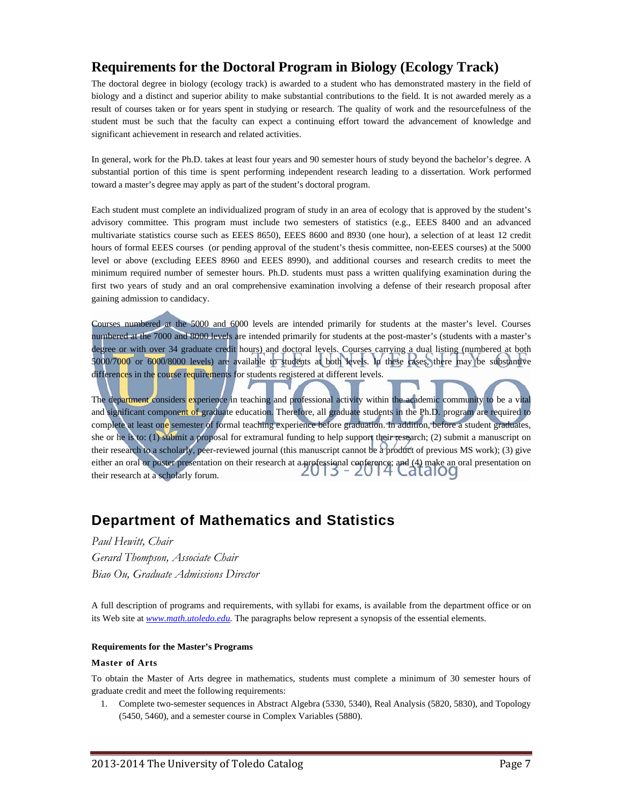#### **Requirements for the Doctoral Program in Biology (Ecology Track)**

The doctoral degree in biology (ecology track) is awarded to a student who has demonstrated mastery in the field of biology and a distinct and superior ability to make substantial contributions to the field. It is not awarded merely as a result of courses taken or for years spent in studying or research. The quality of work and the resourcefulness of the student must be such that the faculty can expect a continuing effort toward the advancement of knowledge and significant achievement in research and related activities.

In general, work for the Ph.D. takes at least four years and 90 semester hours of study beyond the bachelor's degree. A substantial portion of this time is spent performing independent research leading to a dissertation. Work performed toward a master's degree may apply as part of the student's doctoral program.

Each student must complete an individualized program of study in an area of ecology that is approved by the student's advisory committee. This program must include two semesters of statistics (e.g., EEES 8400 and an advanced multivariate statistics course such as EEES 8650), EEES 8600 and 8930 (one hour), a selection of at least 12 credit hours of formal EEES courses (or pending approval of the student's thesis committee, non-EEES courses) at the 5000 level or above (excluding EEES 8960 and EEES 8990), and additional courses and research credits to meet the minimum required number of semester hours. Ph.D. students must pass a written qualifying examination during the first two years of study and an oral comprehensive examination involving a defense of their research proposal after gaining admission to candidacy.

Courses numbered at the 5000 and 6000 levels are intended primarily for students at the master's level. Courses numbered at the 7000 and 8000 levels are intended primarily for students at the post-master's (students with a master's degree or with over 34 graduate credit hours) and doctoral levels. Courses carrying a dual listing (numbered at both 5000/7000 or 6000/8000 levels) are available to students at both levels. In these cases, there may be substantive differences in the course requirements for students registered at different levels.

The department considers experience in teaching and professional activity within the academic community to be a vital and significant component of graduate education. Therefore, all graduate students in the Ph.D. program are required to complete at least one semester of formal teaching experience before graduation. In addition, before a student graduates, she or he is to: (1) submit a proposal for extramural funding to help support their research; (2) submit a manuscript on their research to a scholarly, peer-reviewed journal (this manuscript cannot be a product of previous MS work); (3) give either an oral or poster presentation on their research at a professional conference; and (4) make an oral presentation on their research at a scholarly forum their research at a scholarly forum.

## **Department of Mathematics and Statistics**

#### *Paul Hewitt, Chair Gerard Thompson, Associate Chair Biao Ou, Graduate Admissions Director*

A full description of programs and requirements, with syllabi for exams, is available from the department office or on its Web site at *www.math.utoledo.edu.* The paragraphs below represent a synopsis of the essential elements.

#### **Requirements for the Master's Programs**

#### **Master of Arts**

To obtain the Master of Arts degree in mathematics, students must complete a minimum of 30 semester hours of graduate credit and meet the following requirements:

1. Complete two-semester sequences in Abstract Algebra (5330, 5340), Real Analysis (5820, 5830), and Topology (5450, 5460), and a semester course in Complex Variables (5880).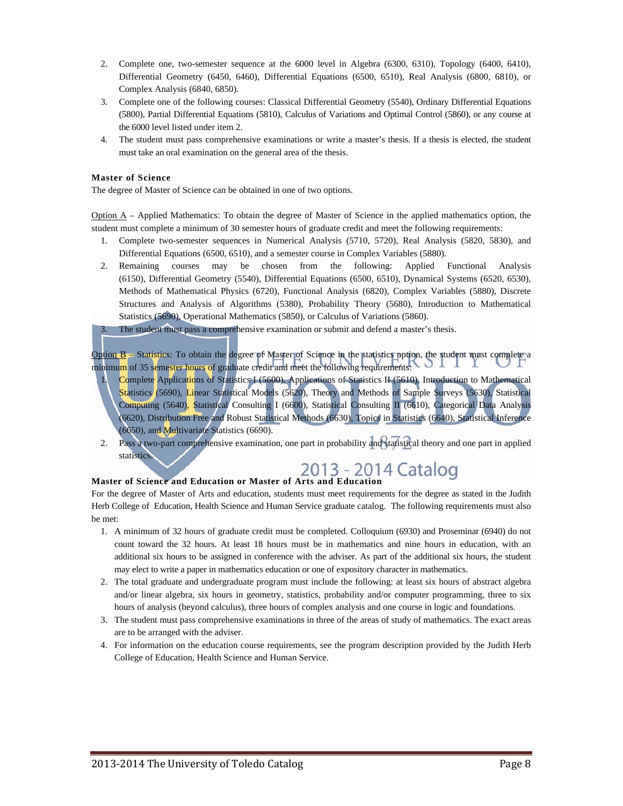- 2. Complete one, two-semester sequence at the 6000 level in Algebra (6300, 6310), Topology (6400, 6410), Differential Geometry (6450, 6460), Differential Equations (6500, 6510), Real Analysis (6800, 6810), or Complex Analysis (6840, 6850).
- 3. Complete one of the following courses: Classical Differential Geometry (5540), Ordinary Differential Equations (5800), Partial Differential Equations (5810), Calculus of Variations and Optimal Control (5860), or any course at the 6000 level listed under item 2.
- 4. The student must pass comprehensive examinations or write a master's thesis. If a thesis is elected, the student must take an oral examination on the general area of the thesis.

#### **Master of Science**

The degree of Master of Science can be obtained in one of two options.

Option A – Applied Mathematics: To obtain the degree of Master of Science in the applied mathematics option, the student must complete a minimum of 30 semester hours of graduate credit and meet the following requirements:

- 1. Complete two-semester sequences in Numerical Analysis (5710, 5720), Real Analysis (5820, 5830), and Differential Equations (6500, 6510), and a semester course in Complex Variables (5880).
- 2. Remaining courses may be chosen from the following: Applied Functional Analysis (6150), Differential Geometry (5540), Differential Equations (6500, 6510), Dynamical Systems (6520, 6530), Methods of Mathematical Physics (6720), Functional Analysis (6820), Complex Variables (5880), Discrete Structures and Analysis of Algorithms (5380), Probability Theory (5680), Introduction to Mathematical Statistics (5690), Operational Mathematics (5850), or Calculus of Variations (5860).

The student must pass a comprehensive examination or submit and defend a master's thesis.

Option B – Statistics: To obtain the degree of Master of Science in the statistics option, the student must complete a minimum of 35 semester hours of graduate credit and meet the following requirements:

- Complete Applications of Statistics I (5600), Applications of Statistics II (5610), Introduction to Mathematical Statistics (5690), Linear Statistical Models (5620), Theory and Methods of Sample Surveys (5630), Statistical Computing (5640), Statistical Consulting I (6600), Statistical Consulting II (6610), Categorical Data Analysis (6620), Distribution Free and Robust Statistical Methods (6630), Topics in Statistics (6640), Statistical Inference (6650), and Multivariate Statistics (6690).
- 2. Pass a two-part comprehensive examination, one part in probability and statistical theory and one part in applied statistics.

# **Master of Science and Education or Master of Arts and Education**

## For the degree of Master of Arts and education, students must meet requirements for the degree as stated in the Judith

Herb College of Education, Health Science and Human Service graduate catalog. The following requirements must also be met:

- 1. A minimum of 32 hours of graduate credit must be completed. Colloquium (6930) and Proseminar (6940) do not count toward the 32 hours. At least 18 hours must be in mathematics and nine hours in education, with an additional six hours to be assigned in conference with the adviser. As part of the additional six hours, the student may elect to write a paper in mathematics education or one of expository character in mathematics.
- 2. The total graduate and undergraduate program must include the following: at least six hours of abstract algebra and/or linear algebra, six hours in geometry, statistics, probability and/or computer programming, three to six hours of analysis (beyond calculus), three hours of complex analysis and one course in logic and foundations.
- 3. The student must pass comprehensive examinations in three of the areas of study of mathematics. The exact areas are to be arranged with the adviser.
- 4. For information on the education course requirements, see the program description provided by the Judith Herb College of Education, Health Science and Human Service.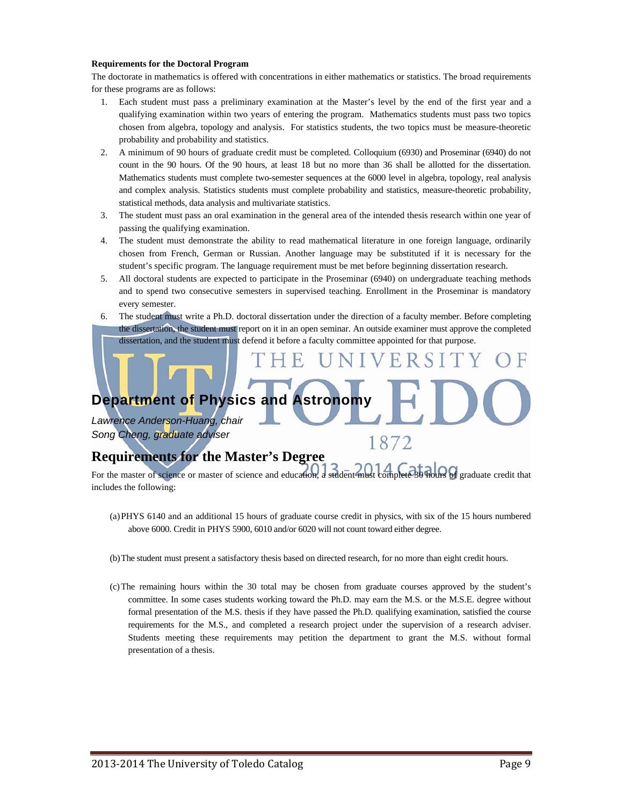#### **Requirements for the Doctoral Program**

The doctorate in mathematics is offered with concentrations in either mathematics or statistics. The broad requirements for these programs are as follows:

- 1. Each student must pass a preliminary examination at the Master's level by the end of the first year and a qualifying examination within two years of entering the program. Mathematics students must pass two topics chosen from algebra, topology and analysis. For statistics students, the two topics must be measure-theoretic probability and probability and statistics.
- 2. A minimum of 90 hours of graduate credit must be completed. Colloquium (6930) and Proseminar (6940) do not count in the 90 hours. Of the 90 hours, at least 18 but no more than 36 shall be allotted for the dissertation. Mathematics students must complete two-semester sequences at the 6000 level in algebra, topology, real analysis and complex analysis. Statistics students must complete probability and statistics, measure-theoretic probability, statistical methods, data analysis and multivariate statistics.
- 3. The student must pass an oral examination in the general area of the intended thesis research within one year of passing the qualifying examination.
- 4. The student must demonstrate the ability to read mathematical literature in one foreign language, ordinarily chosen from French, German or Russian. Another language may be substituted if it is necessary for the student's specific program. The language requirement must be met before beginning dissertation research.
- 5. All doctoral students are expected to participate in the Proseminar (6940) on undergraduate teaching methods and to spend two consecutive semesters in supervised teaching. Enrollment in the Proseminar is mandatory every semester.
- 6. The student must write a Ph.D. doctoral dissertation under the direction of a faculty member. Before completing the dissertation, the student must report on it in an open seminar. An outside examiner must approve the completed dissertation, and the student must defend it before a faculty committee appointed for that purpose.

**Department of Physics and Astronomy** 

*Lawrence Anderson-Huang, chair Song Cheng, graduate adviser* 

#### **Requirements for the Master's Degree**

For the master of science or master of science and education, a student must complete 30 hours of graduate credit that includes the following:

1872

- (a) PHYS 6140 and an additional 15 hours of graduate course credit in physics, with six of the 15 hours numbered above 6000. Credit in PHYS 5900, 6010 and/or 6020 will not count toward either degree.
- (b) The student must present a satisfactory thesis based on directed research, for no more than eight credit hours.
- (c) The remaining hours within the 30 total may be chosen from graduate courses approved by the student's committee. In some cases students working toward the Ph.D. may earn the M.S. or the M.S.E. degree without formal presentation of the M.S. thesis if they have passed the Ph.D. qualifying examination, satisfied the course requirements for the M.S., and completed a research project under the supervision of a research adviser. Students meeting these requirements may petition the department to grant the M.S. without formal presentation of a thesis.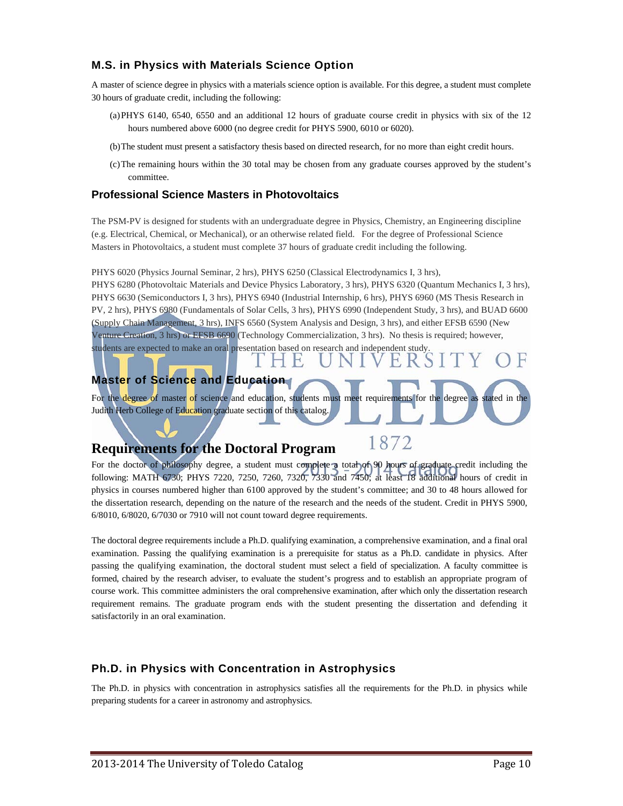#### **M.S. in Physics with Materials Science Option**

A master of science degree in physics with a materials science option is available. For this degree, a student must complete 30 hours of graduate credit, including the following:

- (a) PHYS 6140, 6540, 6550 and an additional 12 hours of graduate course credit in physics with six of the 12 hours numbered above 6000 (no degree credit for PHYS 5900, 6010 or 6020).
- (b) The student must present a satisfactory thesis based on directed research, for no more than eight credit hours.
- (c) The remaining hours within the 30 total may be chosen from any graduate courses approved by the student's committee.

#### **Professional Science Masters in Photovoltaics**

The PSM-PV is designed for students with an undergraduate degree in Physics, Chemistry, an Engineering discipline (e.g. Electrical, Chemical, or Mechanical), or an otherwise related field. For the degree of Professional Science Masters in Photovoltaics, a student must complete 37 hours of graduate credit including the following.

PHYS 6020 (Physics Journal Seminar, 2 hrs), PHYS 6250 (Classical Electrodynamics I, 3 hrs),

PHYS 6280 (Photovoltaic Materials and Device Physics Laboratory, 3 hrs), PHYS 6320 (Quantum Mechanics I, 3 hrs), PHYS 6630 (Semiconductors I, 3 hrs), PHYS 6940 (Industrial Internship, 6 hrs), PHYS 6960 (MS Thesis Research in PV, 2 hrs), PHYS 6980 (Fundamentals of Solar Cells, 3 hrs), PHYS 6990 (Independent Study, 3 hrs), and BUAD 6600 (Supply Chain Management, 3 hrs), INFS 6560 (System Analysis and Design, 3 hrs), and either EFSB 6590 (New Venture Creation, 3 hrs) or EFSB 6690 (Technology Commercialization, 3 hrs). No thesis is required; however, students are expected to make an oral presentation based on research and independent study.

#### **Master of Science and Education**

For the degree of master of science and education, students must meet requirements for the degree as stated in the Judith Herb College of Education graduate section of this catalog.

1872

#### **Requirements for the Doctoral Program**

For the doctor of philosophy degree, a student must complete a total of 90 hours of graduate credit including the following: MATH 6730; PHYS 7220, 7250, 7260, 7320, 7330 and 7450; at least 18 additional hours of credit in physics in courses numbered higher than 6100 approved by the student's committee; and 30 to 48 hours allowed for the dissertation research, depending on the nature of the research and the needs of the student. Credit in PHYS 5900, 6/8010, 6/8020, 6/7030 or 7910 will not count toward degree requirements.

The doctoral degree requirements include a Ph.D. qualifying examination, a comprehensive examination, and a final oral examination. Passing the qualifying examination is a prerequisite for status as a Ph.D. candidate in physics. After passing the qualifying examination, the doctoral student must select a field of specialization. A faculty committee is formed, chaired by the research adviser, to evaluate the student's progress and to establish an appropriate program of course work. This committee administers the oral comprehensive examination, after which only the dissertation research requirement remains. The graduate program ends with the student presenting the dissertation and defending it satisfactorily in an oral examination.

#### **Ph.D. in Physics with Concentration in Astrophysics**

The Ph.D. in physics with concentration in astrophysics satisfies all the requirements for the Ph.D. in physics while preparing students for a career in astronomy and astrophysics.